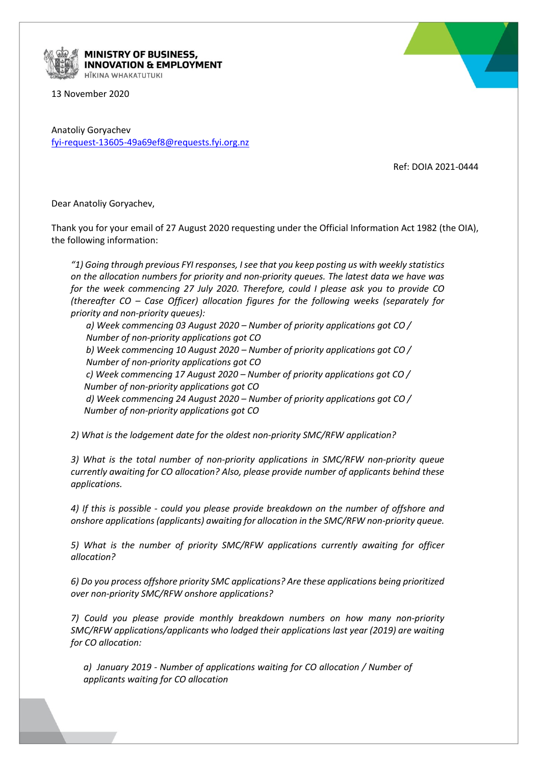

**MINISTRY OF BUSINESS, NNOVATION & EMPLOYMENT** HĪKINA WHAKATUTUKI

13 November 2020

Anatoliy Goryachev [fyi-request-13605-49a69ef8@requests.fyi.org.nz](mailto:xxxxxxxxxxxxxxxxxxxxxxxxxx@xxxxxxxx.xxx.xxx.xx)

Ref: DOIA 2021-0444

Dear Anatoliy Goryachev,

Thank you for your email of 27 August 2020 requesting under the Official Information Act 1982 (the OIA), the following information:

*"1) Going through previous FYI responses, I see that you keep posting us with weekly statistics on the allocation numbers for priority and non-priority queues. The latest data we have was for the week commencing 27 July 2020. Therefore, could I please ask you to provide CO (thereafter CO – Case Officer) allocation figures for the following weeks (separately for priority and non-priority queues):*

*a) Week commencing 03 August 2020 – Number of priority applications got CO / Number of non-priority applications got CO b) Week commencing 10 August 2020 – Number of priority applications got CO / Number of non-priority applications got CO*

*c) Week commencing 17 August 2020 – Number of priority applications got CO / Number of non-priority applications got CO*

*d) Week commencing 24 August 2020 – Number of priority applications got CO / Number of non-priority applications got CO*

*2) What is the lodgement date for the oldest non-priority SMC/RFW application?*

*3) What is the total number of non-priority applications in SMC/RFW non-priority queue currently awaiting for CO allocation? Also, please provide number of applicants behind these applications.* 

*4) If this is possible - could you please provide breakdown on the number of offshore and onshore applications (applicants) awaiting for allocation in the SMC/RFW non-priority queue.*

*5) What is the number of priority SMC/RFW applications currently awaiting for officer allocation?*

*6) Do you process offshore priority SMC applications? Are these applications being prioritized over non-priority SMC/RFW onshore applications?* 

*7) Could you please provide monthly breakdown numbers on how many non-priority SMC/RFW applications/applicants who lodged their applications last year (2019) are waiting for CO allocation:*

*a) January 2019 - Number of applications waiting for CO allocation / Number of applicants waiting for CO allocation*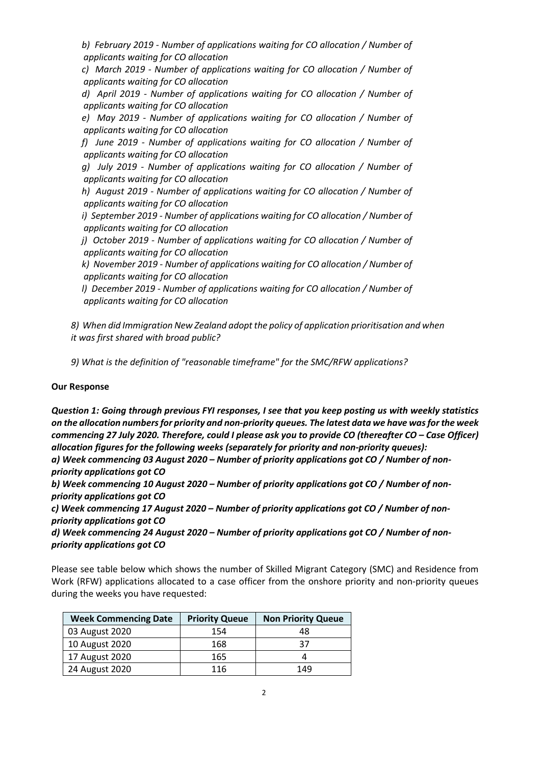*b) February 2019 - Number of applications waiting for CO allocation / Number of applicants waiting for CO allocation*

 *c) March 2019 - Number of applications waiting for CO allocation / Number of applicants waiting for CO allocation*

 *d) April 2019 - Number of applications waiting for CO allocation / Number of applicants waiting for CO allocation*

 *e) May 2019 - Number of applications waiting for CO allocation / Number of applicants waiting for CO allocation*

 *f) June 2019 - Number of applications waiting for CO allocation / Number of applicants waiting for CO allocation*

 *g) July 2019 - Number of applications waiting for CO allocation / Number of applicants waiting for CO allocation*

 *h) August 2019 - Number of applications waiting for CO allocation / Number of applicants waiting for CO allocation*

 *i) September 2019 - Number of applications waiting for CO allocation / Number of applicants waiting for CO allocation*

 *j) October 2019 - Number of applications waiting for CO allocation / Number of applicants waiting for CO allocation*

 *k) November 2019 - Number of applications waiting for CO allocation / Number of applicants waiting for CO allocation*

 *l) December 2019 - Number of applications waiting for CO allocation / Number of applicants waiting for CO allocation*

*8) When did Immigration New Zealand adopt the policy of application prioritisation and when it was first shared with broad public?* 

*9) What is the definition of "reasonable timeframe" for the SMC/RFW applications?* 

### **Our Response**

*Question 1: Going through previous FYI responses, I see that you keep posting us with weekly statistics on the allocation numbers for priority and non-priority queues. The latest data we have was for the week commencing 27 July 2020. Therefore, could I please ask you to provide CO (thereafter CO – Case Officer) allocation figures for the following weeks (separately for priority and non-priority queues):*

*a) Week commencing 03 August 2020 – Number of priority applications got CO / Number of nonpriority applications got CO*

*b) Week commencing 10 August 2020 – Number of priority applications got CO / Number of nonpriority applications got CO*

*c) Week commencing 17 August 2020 – Number of priority applications got CO / Number of nonpriority applications got CO*

*d) Week commencing 24 August 2020 – Number of priority applications got CO / Number of nonpriority applications got CO*

Please see table below which shows the number of Skilled Migrant Category (SMC) and Residence from Work (RFW) applications allocated to a case officer from the onshore priority and non-priority queues during the weeks you have requested:

| <b>Week Commencing Date</b> | <b>Priority Queue</b> | <b>Non Priority Queue</b> |
|-----------------------------|-----------------------|---------------------------|
| 03 August 2020              | 154                   | 48                        |
| 10 August 2020              | 168                   | 37                        |
| 17 August 2020              | 165                   |                           |
| 24 August 2020              | 116                   | 149                       |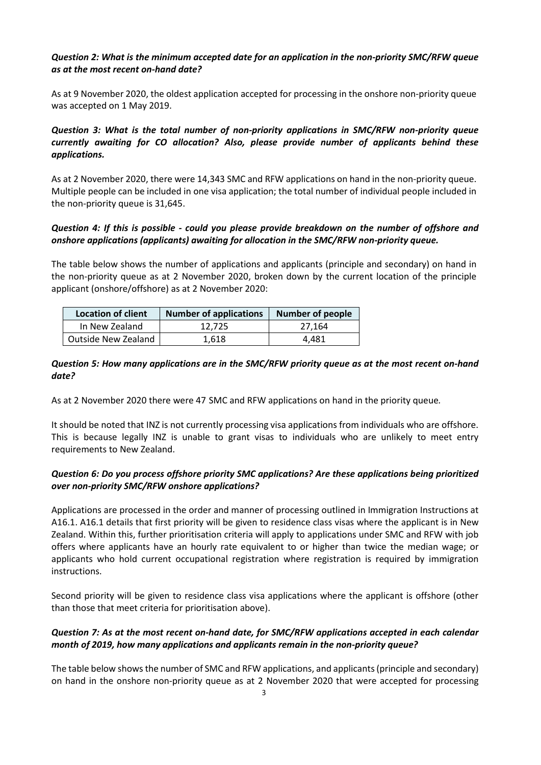## *Question 2: What is the minimum accepted date for an application in the non-priority SMC/RFW queue as at the most recent on-hand date?*

As at 9 November 2020, the oldest application accepted for processing in the onshore non-priority queue was accepted on 1 May 2019.

# *Question 3: What is the total number of non-priority applications in SMC/RFW non-priority queue currently awaiting for CO allocation? Also, please provide number of applicants behind these applications.*

As at 2 November 2020, there were 14,343 SMC and RFW applications on hand in the non-priority queue. Multiple people can be included in one visa application; the total number of individual people included in the non-priority queue is 31,645.

## *Question 4: If this is possible - could you please provide breakdown on the number of offshore and onshore applications (applicants) awaiting for allocation in the SMC/RFW non-priority queue.*

The table below shows the number of applications and applicants (principle and secondary) on hand in the non-priority queue as at 2 November 2020, broken down by the current location of the principle applicant (onshore/offshore) as at 2 November 2020:

| <b>Location of client</b> | <b>Number of applications</b> | <b>Number of people</b> |
|---------------------------|-------------------------------|-------------------------|
| In New Zealand            | 12.725                        | 27.164                  |
| Outside New Zealand       | 1.618                         | 4.481                   |

### *Question 5: How many applications are in the SMC/RFW priority queue as at the most recent on-hand date?*

As at 2 November 2020 there were 47 SMC and RFW applications on hand in the priority queue*.*

It should be noted that INZ is not currently processing visa applications from individuals who are offshore. This is because legally INZ is unable to grant visas to individuals who are unlikely to meet entry requirements to New Zealand.

## *Question 6: Do you process offshore priority SMC applications? Are these applications being prioritized over non-priority SMC/RFW onshore applications?*

Applications are processed in the order and manner of processing outlined in Immigration Instructions at A16.1. A16.1 details that first priority will be given to residence class visas where the applicant is in New Zealand. Within this, further prioritisation criteria will apply to applications under SMC and RFW with job offers where applicants have an hourly rate equivalent to or higher than twice the median wage; or applicants who hold current occupational registration where registration is required by immigration instructions.

Second priority will be given to residence class visa applications where the applicant is offshore (other than those that meet criteria for prioritisation above).

## *Question 7: As at the most recent on-hand date, for SMC/RFW applications accepted in each calendar month of 2019, how many applications and applicants remain in the non-priority queue?*

The table below shows the number of SMC and RFW applications, and applicants (principle and secondary) on hand in the onshore non-priority queue as at 2 November 2020 that were accepted for processing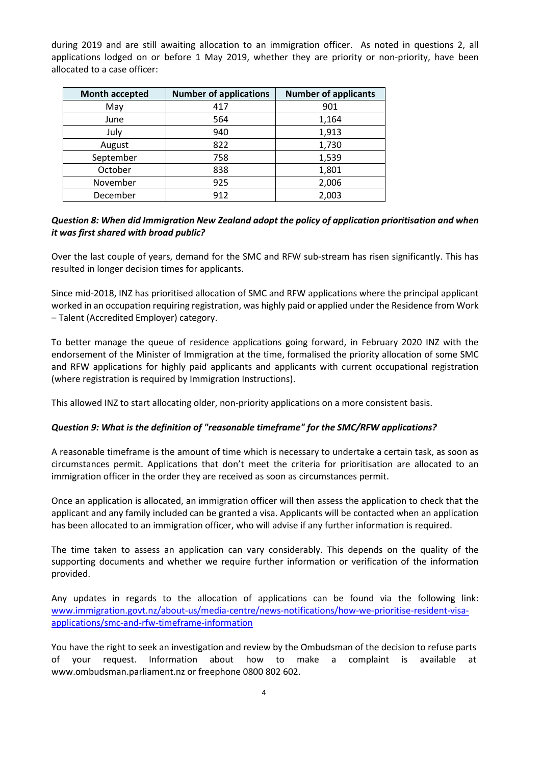during 2019 and are still awaiting allocation to an immigration officer. As noted in questions 2, all applications lodged on or before 1 May 2019, whether they are priority or non-priority, have been allocated to a case officer:

| <b>Month accepted</b> | <b>Number of applications</b> | <b>Number of applicants</b> |
|-----------------------|-------------------------------|-----------------------------|
| May                   | 417                           | 901                         |
| June                  | 564                           | 1,164                       |
| July                  | 940                           | 1,913                       |
| August                | 822                           | 1,730                       |
| September             | 758                           | 1,539                       |
| October               | 838                           | 1,801                       |
| November              | 925                           | 2,006                       |
| December              | 912                           | 2,003                       |

## *Question 8: When did Immigration New Zealand adopt the policy of application prioritisation and when it was first shared with broad public?*

Over the last couple of years, demand for the SMC and RFW sub-stream has risen significantly. This has resulted in longer decision times for applicants.

Since mid-2018, INZ has prioritised allocation of SMC and RFW applications where the principal applicant worked in an occupation requiring registration, was highly paid or applied under the Residence from Work – Talent (Accredited Employer) category.

To better manage the queue of residence applications going forward, in February 2020 INZ with the endorsement of the Minister of Immigration at the time, formalised the priority allocation of some SMC and RFW applications for highly paid applicants and applicants with current occupational registration (where registration is required by Immigration Instructions).

This allowed INZ to start allocating older, non-priority applications on a more consistent basis.

#### *Question 9: What is the definition of "reasonable timeframe" for the SMC/RFW applications?*

A reasonable timeframe is the amount of time which is necessary to undertake a certain task, as soon as circumstances permit. Applications that don't meet the criteria for prioritisation are allocated to an immigration officer in the order they are received as soon as circumstances permit.

Once an application is allocated, an immigration officer will then assess the application to check that the applicant and any family included can be granted a visa. Applicants will be contacted when an application has been allocated to an immigration officer, who will advise if any further information is required.

The time taken to assess an application can vary considerably. This depends on the quality of the supporting documents and whether we require further information or verification of the information provided.

Any updates in regards to the allocation of applications can be found via the following link: [www.immigration.govt.nz/about-us/media-centre/news-notifications/how-we-prioritise-resident-visa](http://www.immigration.govt.nz/about-us/media-centre/news-notifications/how-we-prioritise-resident-visa-applications/smc-and-rfw-timeframe-information)[applications/smc-and-rfw-timeframe-information](http://www.immigration.govt.nz/about-us/media-centre/news-notifications/how-we-prioritise-resident-visa-applications/smc-and-rfw-timeframe-information)

You have the right to seek an investigation and review by the Ombudsman of the decision to refuse parts of your request. Information about how to make a complaint is available at www.ombudsman.parliament.nz or freephone 0800 802 602.